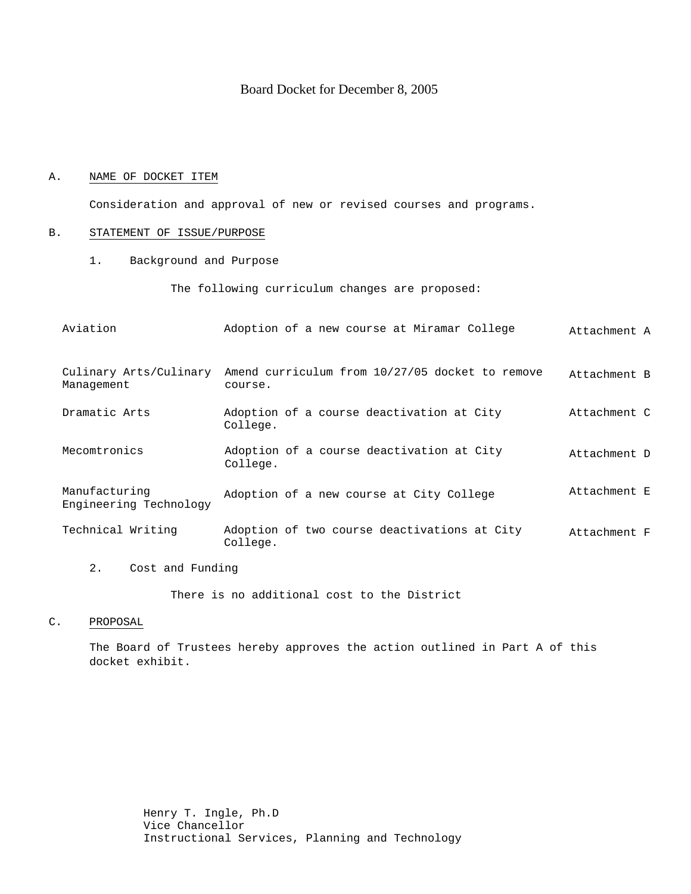# Board Docket for December 8, 2005

### A. NAME OF DOCKET ITEM

Consideration and approval of new or revised courses and programs.

### B. STATEMENT OF ISSUE/PURPOSE

1. Background and Purpose

The following curriculum changes are proposed:

| Aviation                                | Adoption of a new course at Miramar College                | Attachment A |
|-----------------------------------------|------------------------------------------------------------|--------------|
| Culinary Arts/Culinary<br>Management    | Amend curriculum from 10/27/05 docket to remove<br>course. | Attachment B |
| Dramatic Arts                           | Adoption of a course deactivation at City<br>College.      | Attachment C |
| Mecomtronics                            | Adoption of a course deactivation at City<br>College.      | Attachment D |
| Manufacturing<br>Engineering Technology | Adoption of a new course at City College                   | Attachment E |
| Technical Writing                       | Adoption of two course deactivations at City<br>College.   | Attachment F |
| 2.<br>Cost and Funding                  |                                                            |              |

There is no additional cost to the District

C. PROPOSAL

The Board of Trustees hereby approves the action outlined in Part A of this docket exhibit.

> Henry T. Ingle, Ph.D Vice Chancellor Instructional Services, Planning and Technology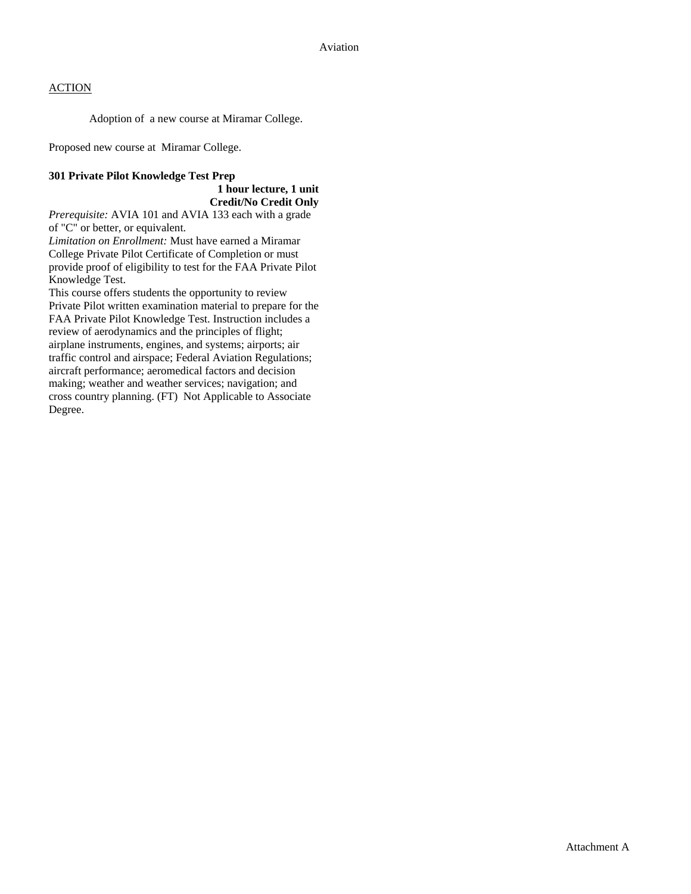Adoption of a new course at Miramar College.

Proposed new course at Miramar College.

## **301 Private Pilot Knowledge Test Prep**

 **1 hour lecture, 1 unit Credit/No Credit Only** 

*Prerequisite:* AVIA 101 and AVIA 133 each with a grade of "C" or better, or equivalent.

*Limitation on Enrollment:* Must have earned a Miramar College Private Pilot Certificate of Completion or must provide proof of eligibility to test for the FAA Private Pilot Knowledge Test.

This course offers students the opportunity to review Private Pilot written examination material to prepare for the FAA Private Pilot Knowledge Test. Instruction includes a review of aerodynamics and the principles of flight; airplane instruments, engines, and systems; airports; air traffic control and airspace; Federal Aviation Regulations; aircraft performance; aeromedical factors and decision making; weather and weather services; navigation; and cross country planning. (FT) Not Applicable to Associate Degree.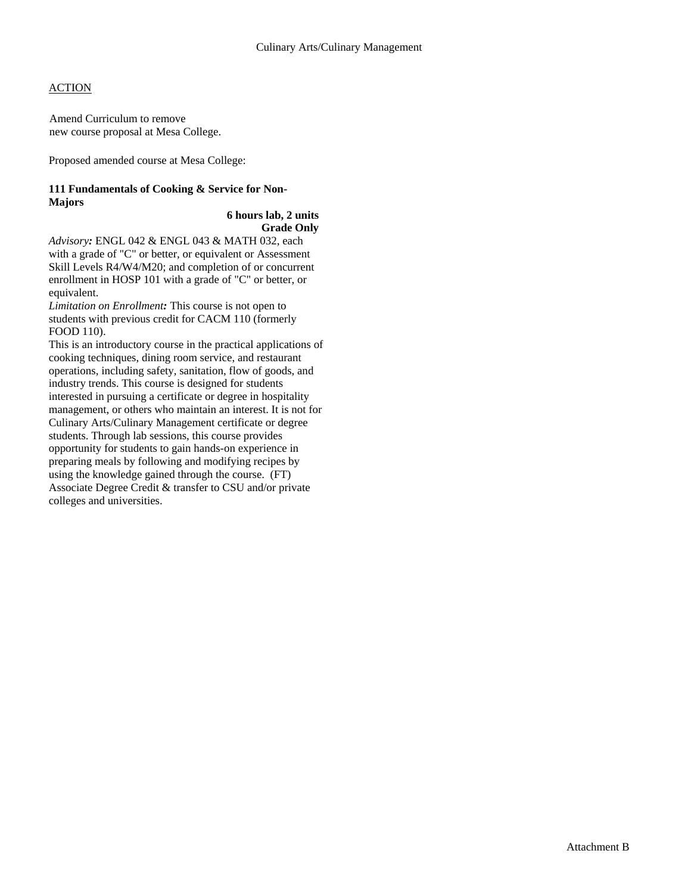Amend Curriculum to remove new course proposal at Mesa College.

Proposed amended course at Mesa College:

## **111 Fundamentals of Cooking & Service for Non-Majors**

#### **6 hours lab, 2 units Grade Only**

*Advisory:* ENGL 042 & ENGL 043 & MATH 032, each with a grade of "C" or better, or equivalent or Assessment Skill Levels R4/W4/M20; and completion of or concurrent enrollment in HOSP 101 with a grade of "C" or better, or equivalent.

*Limitation on Enrollment:* This course is not open to students with previous credit for CACM 110 (formerly FOOD 110).

This is an introductory course in the practical applications of cooking techniques, dining room service, and restaurant operations, including safety, sanitation, flow of goods, and industry trends. This course is designed for students interested in pursuing a certificate or degree in hospitality management, or others who maintain an interest. It is not for Culinary Arts/Culinary Management certificate or degree students. Through lab sessions, this course provides opportunity for students to gain hands-on experience in preparing meals by following and modifying recipes by using the knowledge gained through the course. (FT) Associate Degree Credit & transfer to CSU and/or private colleges and universities.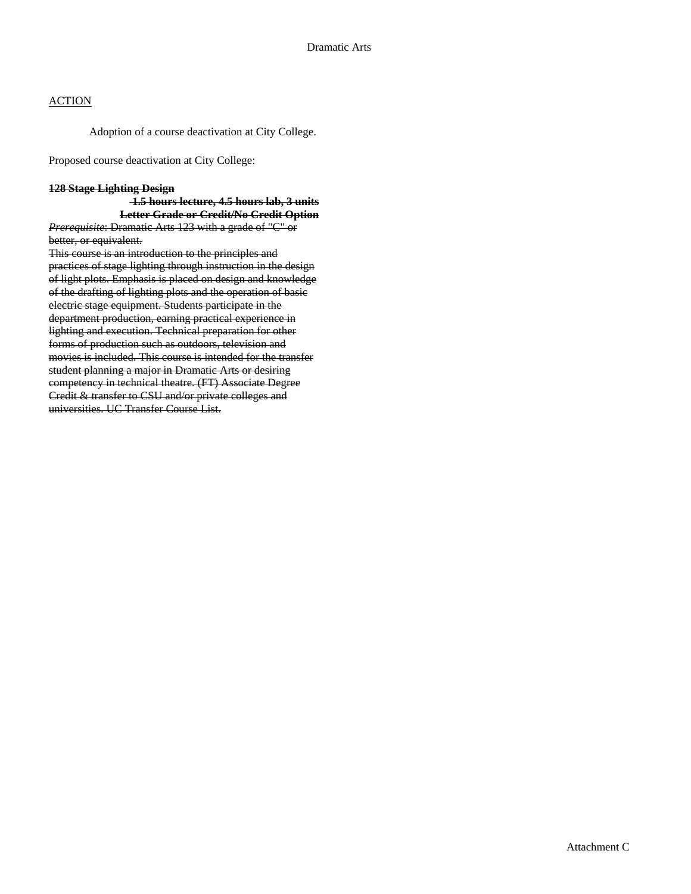Adoption of a course deactivation at City College.

Proposed course deactivation at City College:

## **128 Stage Lighting Design**

## **1.5 hours lecture, 4.5 hours lab, 3 units Letter Grade or Credit/No Credit Option**

*Prerequisite*: Dramatic Arts 123 with a grade of "C" or better, or equivalent.

This course is an introduction to the principles and practices of stage lighting through instruction in the design of light plots. Emphasis is placed on design and knowledge of the drafting of lighting plots and the operation of basic electric stage equipment. Students participate in the department production, earning practical experience in lighting and execution. Technical preparation for other forms of production such as outdoors, television and movies is included. This course is intended for the transfer student planning a major in Dramatic Arts or desiring competency in technical theatre. (FT) Associate Degree Credit & transfer to CSU and/or private colleges and universities. UC Transfer Course List.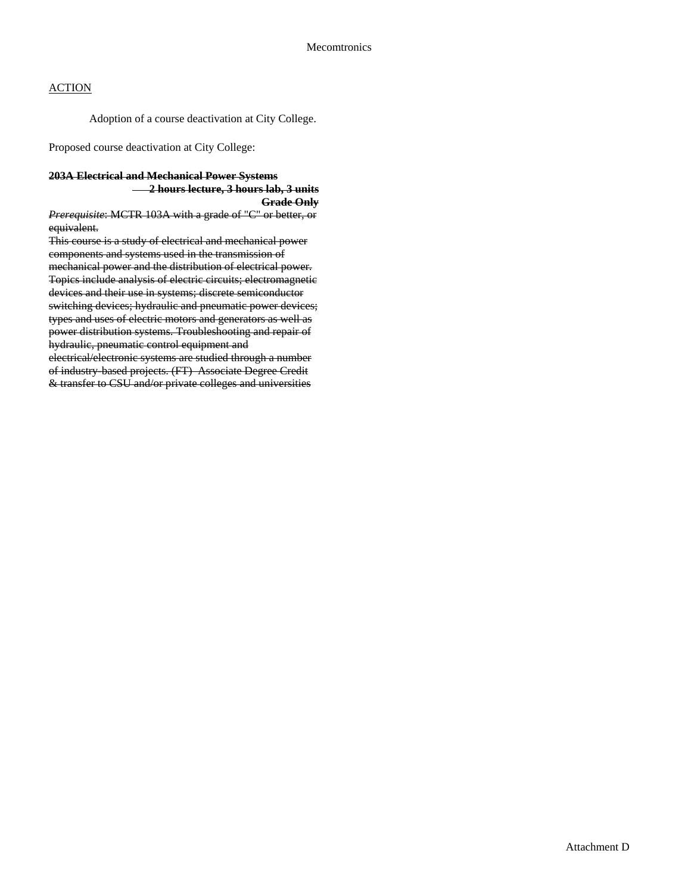Adoption of a course deactivation at City College.

Proposed course deactivation at City College:

#### **203A Electrical and Mechanical Power Systems**

 **2 hours lecture, 3 hours lab, 3 units Grade Only**

*Prerequisite*: MCTR 103A with a grade of "C" or better, or equivalent.

This course is a study of electrical and mechanical power components and systems used in the transmission of mechanical power and the distribution of electrical power. Topics include analysis of electric circuits; electromagnetic devices and their use in systems; discrete semiconductor switching devices; hydraulic and pneumatic power devices; types and uses of electric motors and generators as well as power distribution systems. Troubleshooting and repair of hydraulic, pneumatic control equipment and electrical/electronic systems are studied through a number

of industry-based projects. (FT) Associate Degree Credit & transfer to CSU and/or private colleges and universities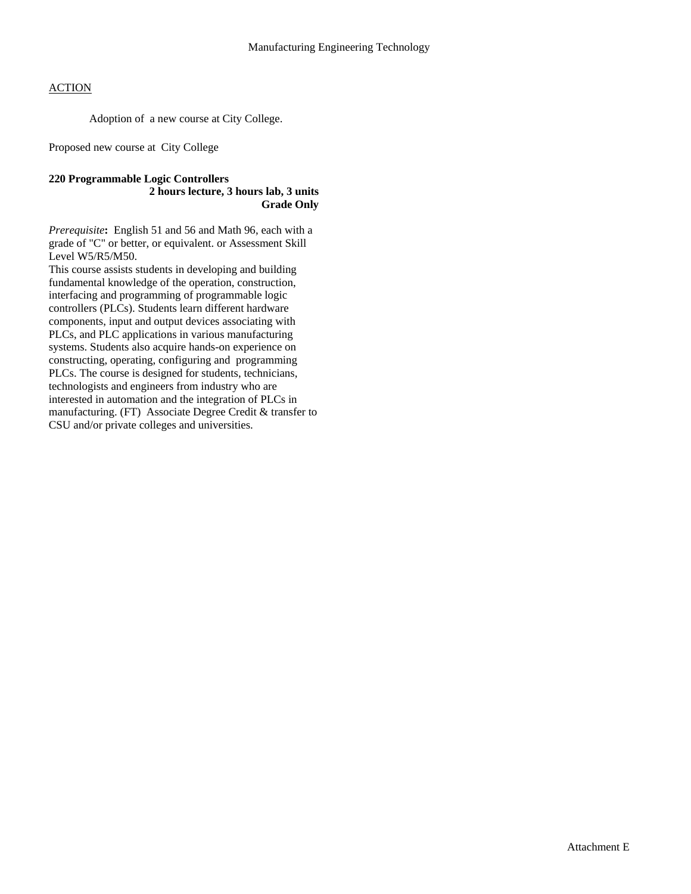Adoption of a new course at City College.

Proposed new course at City College

### **220 Programmable Logic Controllers 2 hours lecture, 3 hours lab, 3 units Grade Only**

*Prerequisite***:** English 51 and 56 and Math 96, each with a grade of "C" or better, or equivalent. or Assessment Skill Level W5/R5/M50.

This course assists students in developing and building fundamental knowledge of the operation, construction, interfacing and programming of programmable logic controllers (PLCs). Students learn different hardware components, input and output devices associating with PLCs, and PLC applications in various manufacturing systems. Students also acquire hands-on experience on constructing, operating, configuring and programming PLCs. The course is designed for students, technicians, technologists and engineers from industry who are interested in automation and the integration of PLCs in manufacturing. (FT) Associate Degree Credit & transfer to CSU and/or private colleges and universities.